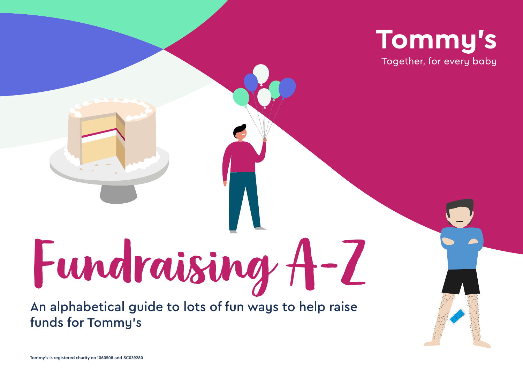

Fundraising A-Z An alphabetical guide to lots of fun ways to help raise funds for Tommy's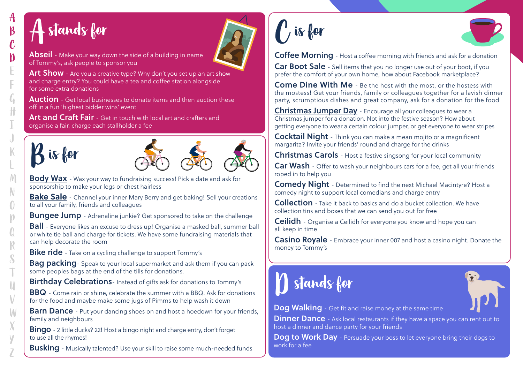## $\bm{\mathsf{A}}$  stands for

 $\boldsymbol{\beta}$ 

 $\mathbf{\hat{C}}$ 

 $\boldsymbol{\mathsf{D}}$ 

 $\mathfrak{a}$ H

 $\mathcal M$ 

N

 $\bigcap$  $\mathsf{M}$ 

 $R$ 

S

 $\mathsf{U}$ 

 $\vee$ 

 $\mathcal{M}$ 

 $\cup$ 

Abseil - Make your way down the side of a building in name of Tommy's, ask people to sponsor you

Art Show - Are you a creative type? Why don't you set up an art show and charge entry? You could have a tea and coffee station alongside for some extra donations

**Auction** - Get local businesses to donate items and then auction these off in a fun 'highest bidder wins' event

Art and Craft Fair - Get in touch with local art and crafters and organise a fair, charge each stallholder a fee







**[Body Wax](https://www.tommys.org/sites/default/files/Tommyshairwego.pdf)** - Wax your way to fundraising success! Pick a date and ask for [sponsorship to make your legs or chest hairless](https://www.tommys.org/sites/default/files/Tommy%27s%20-%20hair%20we%20go.pdf)

**[Bake Sale](https://www.tommys.org/sites/default/files/Tommyshowtoorganiseabakesale.pdf)** - Channel your inner Mary Berry and get baking! Sell your creations [to all your family, friends and colleagues](https://www.tommys.org/sites/default/files/Tommy%27s%20-%20how%20to%20organise%20a%20bake%20sale.pdf)

**Bungee Jump** - Adrenaline junkie? Get sponsored to take on the challenge

**Ball** - Everyone likes an excuse to dress up! Organise a masked ball, summer ball or white tie ball and charge for tickets. We have some fundraising materials that can help decorate the room

**Bike ride** [- Take on a cycling challenge to support Tommy's](https://www.tommys.org/our-organisation/get-involved/charity-bike-ride)

**Bag packing**- Speak to your local supermarket and ask them if you can pack some peoples bags at the end of the tills for donations.

Birthday Celebrations- Instead of gifts ask for donations to Tommy's

BBQ - Come rain or shine, celebrate the summer with a BBQ. Ask for donations for the food and maybe make some jugs of Pimms to help wash it down

**Barn Dance** - Put your dancing shoes on and host a hoedown for your friends, family and neighbours

Bingo - 2 little ducks? 22! Host a bingo night and charge entry, don't forget to use all the rhymes!

**Busking** - Musically talented? Use your skill to raise some much-needed funds

 $\bigcap$  is for



Coffee Morning - Host a coffee morning with friends and ask for a donation

Car Boot Sale - Sell items that you no longer use out of your boot, if you prefer the comfort of your own home, how about Facebook marketplace?

Come Dine With Me - Be the host with the most, or the hostess with the mostess! Get your friends, family or colleagues together for a lavish dinner party, scrumptious dishes and great company, ask for a donation for the food

Christmas Jumper Day - Encourage all your colleagues to wear a [Christmas jumper for a donation. Not into the festive season? How about](https://www.tommys.org/sites/default/files/Tommyshowtofundraiseatwork.pdf)  [getting everyone to wear a certain colour jumper, or get everyone to wear stripes](https://www.tommys.org/sites/default/files/Tommyshowtofundraiseatwork.pdf)

Cocktail Night - Think you can make a mean mojito or a magnificent margarita? Invite your friends' round and charge for the drinks

Christmas Carols - Host a festive singsong for your local community

**Car Wash** - Offer to wash your neighbours cars for a fee, get all your friends roped in to help you

Comedy Night - Determined to find the next Michael Macintyre? Host a comedy night to support local comedians and charge entry

Collection - Take it back to basics and do a bucket collection. We have collection tins and boxes that we can send you out for free

**Ceilidh** - Organise a Ceilidh for everyone you know and hope you can all keep in time

Casino Royale - Embrace your inner 007 and host a casino night. Donate the money to Tommy's





Dog Walking - Get fit and raise money at the same time

**Dinner Dance** - Ask local restaurants if they have a space you can rent out to host a dinner and dance party for your friends

Dog to Work Day - Persuade your boss to let everyone bring their dogs to work for a fee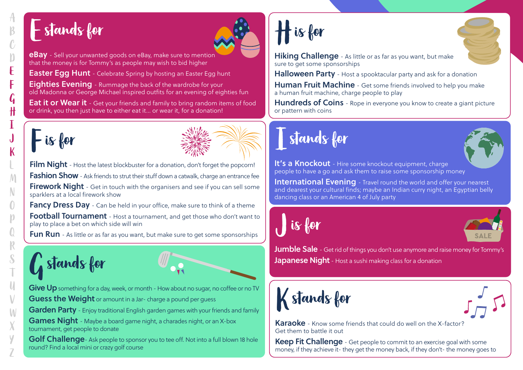#### Estands for



eBay - Sell your unwanted goods on eBay, make sure to mention that the money is for Tommy's as people may wish to bid higher

**Easter Egg Hunt** - Celebrate Spring by hosting an Easter Egg hunt

**Eighties Evening** - Rummage the back of the wardrobe for your old Madonna or George Michael inspired outfits for an evening of eighties fun

**Eat it or Wear it** - Get your friends and family to bring random items of food or drink, you then just have to either eat it… or wear it, for a donation!

# $-$  is for

F

**G** 

K

M

O

 $\mathcal{N}$ 

 $\cup$ 



Film Night - Host the latest blockbuster for a donation, don't forget the popcorn! Fashion Show - Ask friends to strut their stuff down a catwalk, charge an entrance fee **Firework Night** - Get in touch with the organisers and see if you can sell some sparklers at a local firework show

**Fancy Dress Day** - Can be held in your office, make sure to think of a theme Football Tournament - Host a tournament, and get those who don't want to play to place a bet on which side will win

**Fun Run** - As little or as far as you want, but make sure to get some sponsorships

# Gstands for



Give Up something for a day, week, or month - How about no sugar, no coffee or no TV

Guess the Weight or amount in a Jar- charge a pound per quess

Garden Party - Enjoy traditional English garden games with your friends and family

Games Night - Maybe a board game night, a charades night, or an X-box tournament, get people to donate

Golf Challenge- Ask people to sponsor you to tee off. Not into a full blown 18 hole round? Find a local mini or crazy golf course

# His for



Halloween Party - Host a spooktacular party and ask for a donation

Human Fruit Machine - Get some friends involved to help you make a human fruit machine, charge people to play

Hundreds of Coins - Rope in everyone you know to create a giant picture or pattern with coins

#### Istands for



It's a Knockout - Hire some knockout equipment, charge people to have a go and ask them to raise some sponsorship money

International Evening - Travel round the world and offer your nearest and dearest your cultural finds; maybe an Indian curry night, an Egyptian belly dancing class or an American 4 of July party

Jis for



**Jumble Sale** - Get rid of things you don't use anymore and raise money for Tommy's Japanese Night - Host a sushi making class for a donation





**Karaoke** - Know some friends that could do well on the X-factor? Get them to battle it out

Keep Fit Challenge - Get people to commit to an exercise goal with some money, if they achieve it- they get the money back, if they don't- the money goes to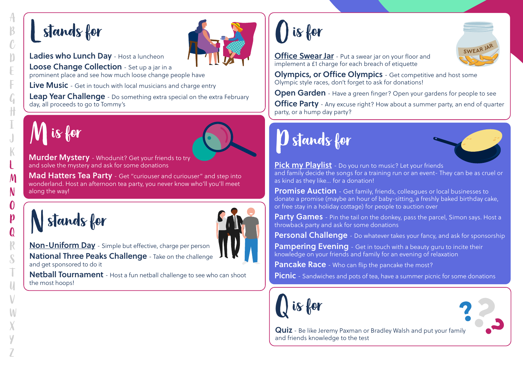#### Lstands for

 $\mathbb{C}$ 

n

L

 $\mathbb K$ 

M

N

 $\boldsymbol{0}$ 



Ladies who Lunch Day - Host a luncheon

Loose Change Collection - Set up a jar in a prominent place and see how much loose change people have

Live Music - Get in touch with local musicians and charge entry

Leap Year Challenge - Do something extra special on the extra February day, all proceeds to go to Tommy's

# Mis for



**Murder Mystery** - Whodunit? Get your friends to try and solve the mystery and ask for some donations

[Mad Hatters Tea Party](https://www.tommys.org/sites/default/files/Tommy%27s%20-%20Tommy%27s%20tea.pdf) - Get "curiouser and curiouser" and step into wonderland. Host an afternoon tea party, you never know who'll you'll meet along the way!

Nstands for



Non-Uniform Day [- Simple but effective, charge per person](https://www.tommys.org/sites/default/files/Tommyshowtofundraiseatschool.pdf) National Three Peaks Challenge - Take on the challenge and get sponsored to do it

Netball Tournament - Host a fun netball challenge to see who can shoot the most hoops!

#### Ois for

[Office Swear Jar](https://www.tommys.org/sites/default/files/Tommyshowtofundraiseatwork.pdf) - Put a swear jar on your floor and [implement a £1 charge for each breach of etiquette](https://www.tommys.org/sites/default/files/Tommys%20-%20How%20to%20fundraise%20at%20work.pdf)

Olympics, or Office Olympics - Get competitive and host some Olympic style races, don't forget to ask for donations!

Open Garden - Have a green finger? Open your gardens for people to see

**Office Party** - Any excuse right? How about a summer party, an end of quarter [party, or a hump day party?](https://www.tommys.org/sites/default/files/Tommys%20-%20How%20to%20fundraise%20at%20work.pdf)

## Pstands for



SWEAR JA

[Pick my Playlist](https://www.tommys.org/sites/default/files/Running%20Playlist_0.pdf) - Do you run to music? Let your friends [and family decide the songs for a training run or an event- They can be as cruel or](https://www.tommys.org/sites/default/files/Running%20Playlist_0.pdf)  [as kind as they like… for a donation!](https://www.tommys.org/sites/default/files/Running%20Playlist_0.pdf)

**Promise Auction** - Get family, friends, colleagues or local businesses to donate a promise (maybe an hour of baby-sitting, a freshly baked birthday cake, or free stay in a holiday cottage) for people to auction over

Party Games - Pin the tail on the donkey, pass the parcel, Simon says. Host a throwback party and ask for some donations

**Personal Challenge** - Do whatever takes your fancy, and ask for sponsorship

**Pampering Evening** - Get in touch with a beauty guru to incite their knowledge on your friends and family for an evening of relaxation

Pancake Race - Who can flip the pancake the most?

**Picnic** - Sandwiches and pots of tea, have a summer picnic for some donations





Quiz - Be like Jeremy Paxman or Bradley Walsh and put your family and friends knowledge to the test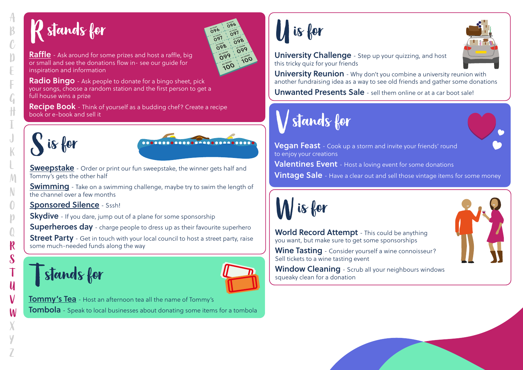# Rstands for

 $\mathcal{C}$ 

 $\sqrt{ }$ 

 $\mathcal{C}$ 

 $\mathcal{M}$ 

N

 $\bigcap$  $\mathbf{M}$ 

 ${\bf R}$ 

 $\mathcal S$ 

 $\boldsymbol{\mathsf{U}}$ 

 $\mathbf{M}$ 

ົດ91 ೧९८ ౚఄౢఀ౸ 5099 **999 OOT** AOO C

[Raffle](https://www.tommys.org/sites/default/files/Tommyshowtoorganisearaffle.pdf) - Ask around for some prizes and host a raffle, big [or small and see the donations flow in- see our guide for](https://www.tommys.org/sites/default/files/Tommy%27s%20-%20how%20to%20organise%20a%20raffle.pdf)  [inspiration and information](https://www.tommys.org/sites/default/files/Tommy%27s%20-%20how%20to%20organise%20a%20raffle.pdf)

**Radio Bingo** - Ask people to donate for a bingo sheet, pick [your songs, choose a random station and the first person to get a](https://www.tommys.org/sites/default/files/Radio%20bingo_0.pdf)  [full house wins a prize](https://www.tommys.org/sites/default/files/Radio%20bingo_0.pdf)

**Recipe Book** - Think of yourself as a budding chef? Create a recipe book or e-book and sell it





**Sweepstake** - Order or print our fun sweepstake, the winner gets half and [Tommy's gets the other half](https://www.tommys.org/sites/default/files/Tommyspinksweepstake.pdf)

**[Swimming](https://www.tommys.org/sites/default/files/Tommyshowtofundraiseatschool.pdf)** - Take on a swimming challenge, maybe try to swim the length of the channel over a few months

#### [Sponsored Silence](https://www.tommys.org/sites/default/files/Tommyshowtofundraiseatschool.pdf) - Sssh!

**Skydive** - If you dare, jump out of a plane for some sponsorship

Superheroes day - charge people to dress up as their favourite superhero

**Street Party** - Get in touch with your local council to host a street party, raise some much-needed funds along the way

Tstands for



**Tommy's Tea** [- Host an afternoon tea all the name of Tommy's](https://www.tommys.org/sites/default/files/Tommysteahowto.pdf) **Tombola** - Speak to local businesses about donating some items for a tombola

Uis for



**University Reunion** - Why don't you combine a university reunion with another fundraising idea as a way to see old friends and gather some donations

Unwanted Presents Sale - sell them online or at a car boot sale!

#### $\bigvee$  stands for





**Vegan Feast** - Cook up a storm and invite your friends' round to enjoy your creations

Valentines Event - Host a loving event for some donations

**Vintage Sale** - Have a clear out and sell those vintage items for some money



World Record Attempt - This could be anything you want, but make sure to get some sponsorships

Wine Tasting - Consider yourself a wine connoisseur? Sell tickets to a wine tasting event

Window Cleaning - Scrub all your neighbours windows squeaky clean for a donation